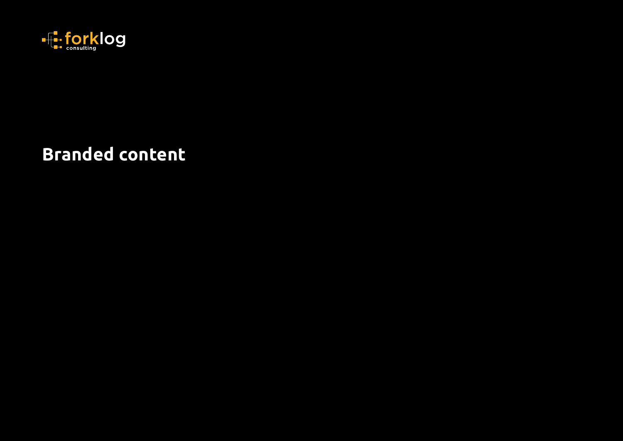

**Branded content**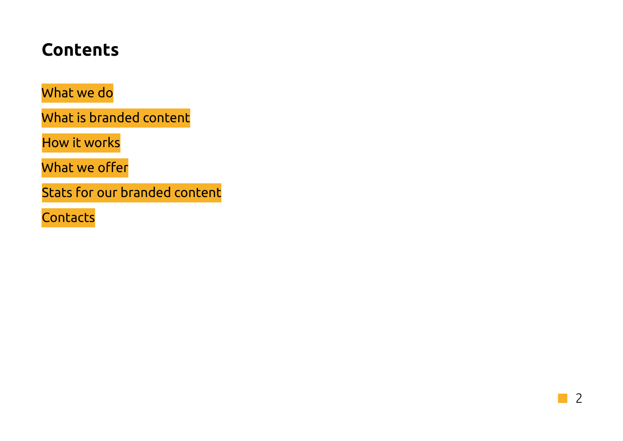## **Contents**

[What we do](#page-2-0)

[What is branded content](#page-4-0)

[How it works](#page-5-0)

[What we offer](#page-6-0)

[Stats for our branded content](#page-7-0)

**[Contacts](#page-8-0)**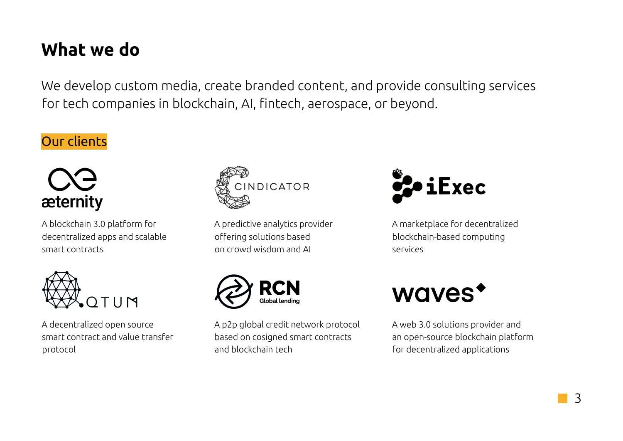# <span id="page-2-0"></span>**What we do**

We develop custom media, create branded content, and provide consulting services for tech companies in blockchain, AI, fintech, aerospace, or beyond.

### Оur clients



A blockchain 3.0 platform for decentralized apps and scalable smart contracts



A decentralized open source smart contract and value transfer protocol



A predictive analytics provider offering solutions based on crowd wisdom and AI



A p2p global credit network protocol based on cosigned smart contracts and blockchain tech



A marketplace for decentralized blockchain-based computing services



A web 3.0 solutions provider and an open-source blockchain platform for decentralized applications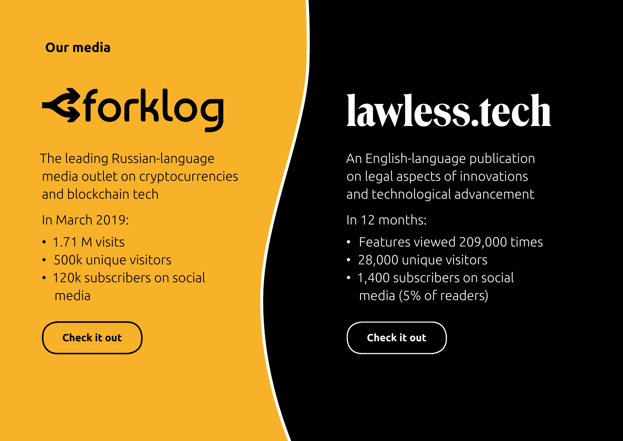#### **Оur media**

# Sforklog

The leading Russian-language media outlet on cryptocurrencies and blockchain tech

### In March 2019:

- 1.71 M visits
- 500k unique visitors
- 120k subscribers on social media

**[Check it out](https://forklog.com/) [Check it out](https://lawless.tech/)**

# lawless.tech

An English-language publication on legal aspects of innovations and technological advancement

In 12 months:

- Features viewed 209,000 times
- 28,000 unique visitors
- 1,400 subscribers on social media (5% of readers)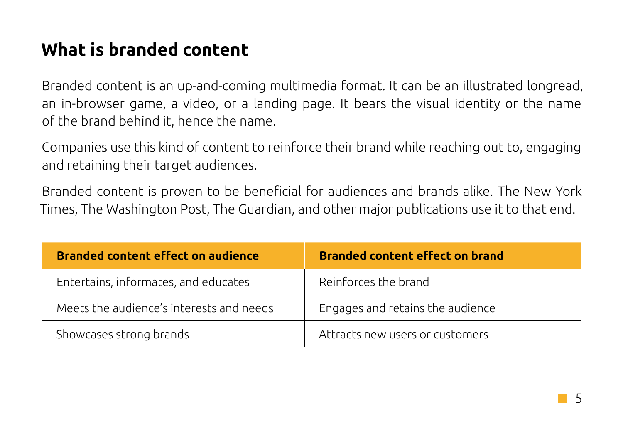# <span id="page-4-0"></span>**What is branded content**

Branded content is an up-and-coming multimedia format. It can be an illustrated longread, an in-browser game, a video, or a landing page. It bears the visual identity or the name of the brand behind it, hence the name.

Companies use this kind of content to reinforce their brand while reaching out to, engaging and retaining their target audiences.

Branded content is proven to be beneficial for audiences and brands alike. The New York Times, The Washington Post, The Guardian, and other major publications use it to that end.

| <b>Branded content effect on audience</b> | <b>Branded content effect on brand</b> |
|-------------------------------------------|----------------------------------------|
| Entertains, informates, and educates      | Reinforces the brand                   |
| Meets the audience's interests and needs  | Engages and retains the audience       |
| Showcases strong brands                   | Attracts new users or customers        |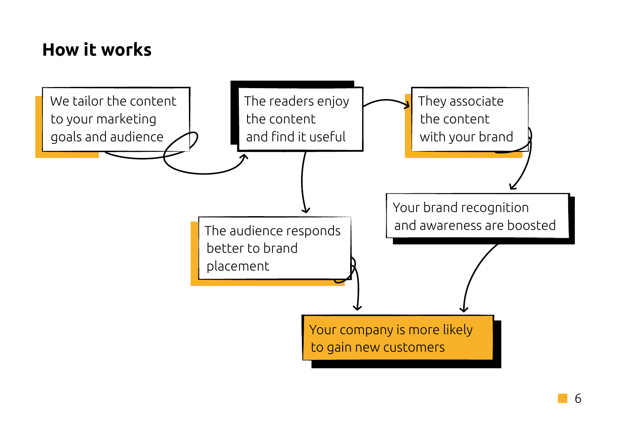# <span id="page-5-0"></span>**How it works**

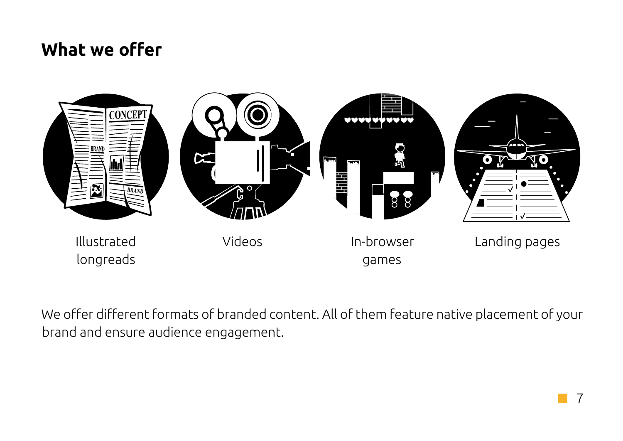# <span id="page-6-0"></span>**What we offer**



We offer different formats of branded content. All of them feature native placement of your brand and ensure audience engagement.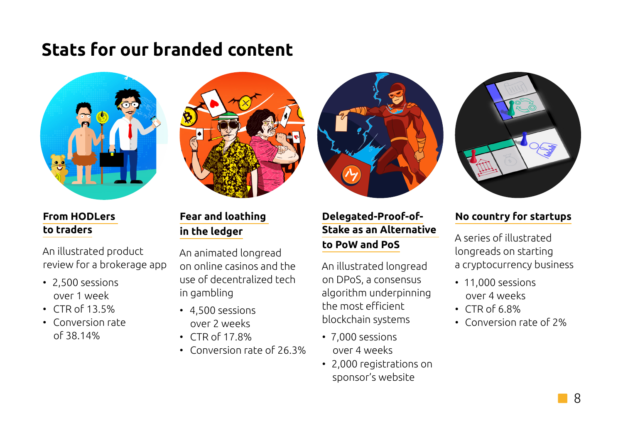# <span id="page-7-0"></span>**Stats for our branded content**



#### **[From HODLers](https://forklog.com/sp/quantfury-review/)  [to traders](https://forklog.com/sp/quantfury-review/)**

An illustrated product review for a brokerage app

- 2,500 sessions over 1 week
- CTR of 13.5%
- Conversion rate of 38.14%

#### **[Fear and loathing](https://forklog.com/sp/fear-and-loathing-in-ledger/)  [in the ledger](https://forklog.com/sp/fear-and-loathing-in-ledger/)**

An animated longread on online casinos and the use of decentralized tech in gambling

- 4,500 sessions over 2 weeks
- CTR of 17.8%
- Conversion rate of 26.3%



#### **[Delegated-Proof-of-](https://forklog.com/sp/DPoS/)[Stake as an Alternative](https://forklog.com/sp/DPoS/)  [to PoW and PoS](https://forklog.com/sp/DPoS/)**

An illustrated longread on DPoS, a consensus algorithm underpinning the most efficient blockchain systems

- 7,000 sessions over 4 weeks
- 2,000 registrations on sponsor's website



#### **[No country for startups](https://forklog.com/sp/crypto-business/)**

A series of illustrated longreads on starting a cryptocurrency business

- 11,000 sessions over 4 weeks
- CTR of 6.8%
- Сonversion rate of 2%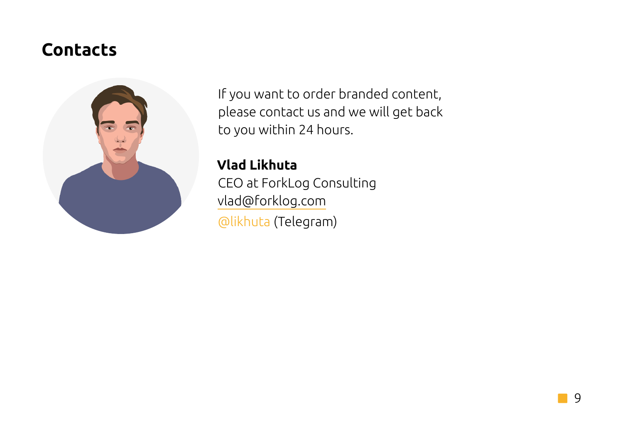## <span id="page-8-0"></span>**Contacts**



If you want to order branded content, please contact us and we will get back to you within 24 hours.

**Vlad Likhuta** CEO at ForkLog Consulting vlad@forklog.com @likhuta (Telegram)